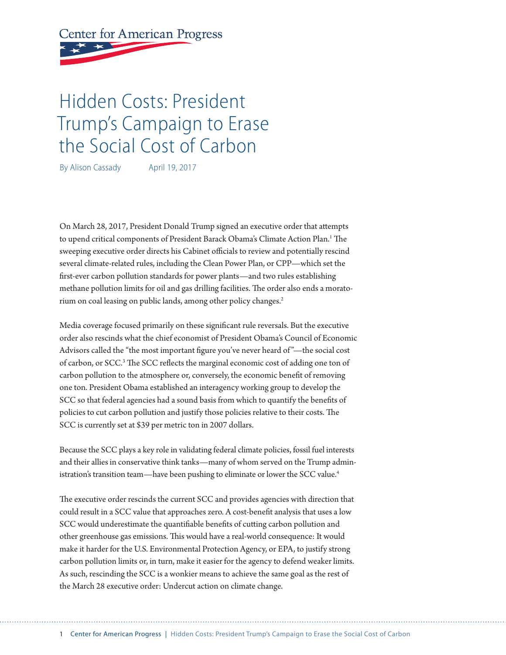**Center for American Progress** 

# Hidden Costs: President Trump's Campaign to Erase the Social Cost of Carbon

By Alison Cassady April 19, 2017

On March 28, 2017, President Donald Trump signed an executive order that attempts to upend critical components of President Barack Obama's Climate Action Plan.1 The sweeping executive order directs his Cabinet officials to review and potentially rescind several climate-related rules, including the Clean Power Plan, or CPP—which set the first-ever carbon pollution standards for power plants—and two rules establishing methane pollution limits for oil and gas drilling facilities. The order also ends a moratorium on coal leasing on public lands, among other policy changes.2

Media coverage focused primarily on these significant rule reversals. But the executive order also rescinds what the chief economist of President Obama's Council of Economic Advisors called the "the most important figure you've never heard of "—the social cost of carbon, or SCC.<sup>3</sup> The SCC reflects the marginal economic cost of adding one ton of carbon pollution to the atmosphere or, conversely, the economic benefit of removing one ton. President Obama established an interagency working group to develop the SCC so that federal agencies had a sound basis from which to quantify the benefits of policies to cut carbon pollution and justify those policies relative to their costs. The SCC is currently set at \$39 per metric ton in 2007 dollars.

Because the SCC plays a key role in validating federal climate policies, fossil fuel interests and their allies in conservative think tanks—many of whom served on the Trump administration's transition team—have been pushing to eliminate or lower the SCC value.<sup>4</sup>

The executive order rescinds the current SCC and provides agencies with direction that could result in a SCC value that approaches zero. A cost-benefit analysis that uses a low SCC would underestimate the quantifiable benefits of cutting carbon pollution and other greenhouse gas emissions. This would have a real-world consequence: It would make it harder for the U.S. Environmental Protection Agency, or EPA, to justify strong carbon pollution limits or, in turn, make it easier for the agency to defend weaker limits. As such, rescinding the SCC is a wonkier means to achieve the same goal as the rest of the March 28 executive order: Undercut action on climate change.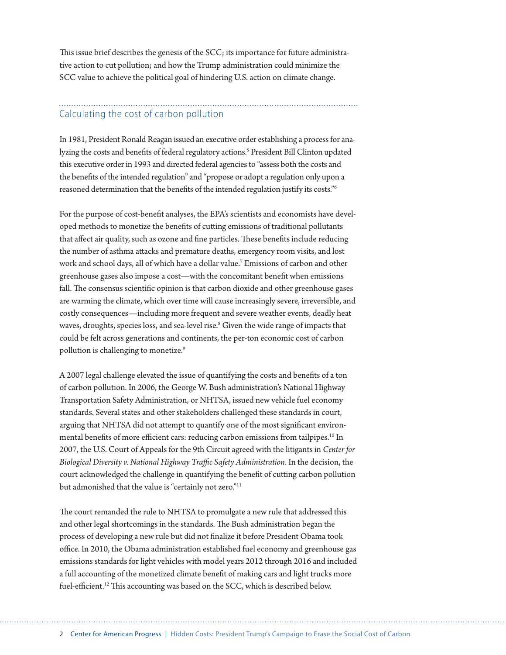This issue brief describes the genesis of the SCC; its importance for future administrative action to cut pollution; and how the Trump administration could minimize the SCC value to achieve the political goal of hindering U.S. action on climate change.

# Calculating the cost of carbon pollution

In 1981, President Ronald Reagan issued an executive order establishing a process for analyzing the costs and benefits of federal regulatory actions.<sup>5</sup> President Bill Clinton updated this executive order in 1993 and directed federal agencies to "assess both the costs and the benefits of the intended regulation" and "propose or adopt a regulation only upon a reasoned determination that the benefits of the intended regulation justify its costs."6

For the purpose of cost-benefit analyses, the EPA's scientists and economists have developed methods to monetize the benefits of cutting emissions of traditional pollutants that affect air quality, such as ozone and fine particles. These benefits include reducing the number of asthma attacks and premature deaths, emergency room visits, and lost work and school days, all of which have a dollar value.7 Emissions of carbon and other greenhouse gases also impose a cost—with the concomitant benefit when emissions fall. The consensus scientific opinion is that carbon dioxide and other greenhouse gases are warming the climate, which over time will cause increasingly severe, irreversible, and costly consequences—including more frequent and severe weather events, deadly heat waves, droughts, species loss, and sea-level rise.<sup>8</sup> Given the wide range of impacts that could be felt across generations and continents, the per-ton economic cost of carbon pollution is challenging to monetize.<sup>9</sup>

A 2007 legal challenge elevated the issue of quantifying the costs and benefits of a ton of carbon pollution. In 2006, the George W. Bush administration's National Highway Transportation Safety Administration, or NHTSA, issued new vehicle fuel economy standards. Several states and other stakeholders challenged these standards in court, arguing that NHTSA did not attempt to quantify one of the most significant environmental benefits of more efficient cars: reducing carbon emissions from tailpipes.<sup>10</sup> In 2007, the U.S. Court of Appeals for the 9th Circuit agreed with the litigants in *Center for Biological Diversity v. National Highway Traffic Safety Administration*. In the decision, the court acknowledged the challenge in quantifying the benefit of cutting carbon pollution but admonished that the value is "certainly not zero."<sup>11</sup>

The court remanded the rule to NHTSA to promulgate a new rule that addressed this and other legal shortcomings in the standards. The Bush administration began the process of developing a new rule but did not finalize it before President Obama took office. In 2010, the Obama administration established fuel economy and greenhouse gas emissions standards for light vehicles with model years 2012 through 2016 and included a full accounting of the monetized climate benefit of making cars and light trucks more fuel-efficient.<sup>12</sup> This accounting was based on the SCC, which is described below.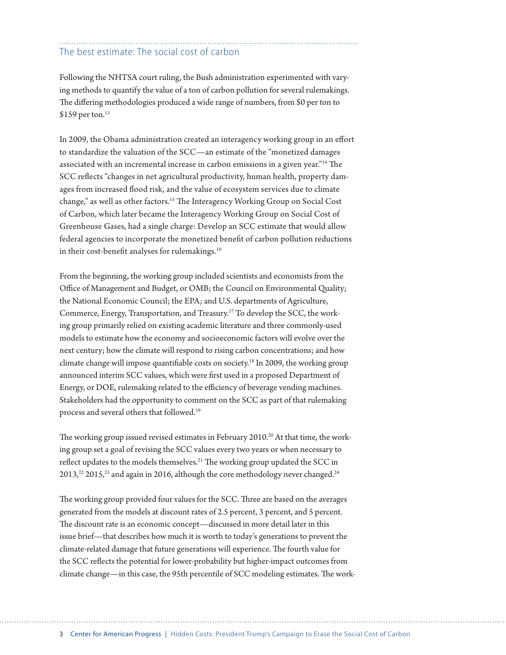# The best estimate: The social cost of carbon

Following the NHTSA court ruling, the Bush administration experimented with varying methods to quantify the value of a ton of carbon pollution for several rulemakings. The differing methodologies produced a wide range of numbers, from \$0 per ton to \$159 per ton.<sup>13</sup>

In 2009, the Obama administration created an interagency working group in an effort to standardize the valuation of the SCC—an estimate of the "monetized damages associated with an incremental increase in carbon emissions in a given year."14 The SCC reflects "changes in net agricultural productivity, human health, property damages from increased flood risk, and the value of ecosystem services due to climate change," as well as other factors.15 The Interagency Working Group on Social Cost of Carbon, which later became the Interagency Working Group on Social Cost of Greenhouse Gases, had a single charge: Develop an SCC estimate that would allow federal agencies to incorporate the monetized benefit of carbon pollution reductions in their cost-benefit analyses for rulemakings.<sup>16</sup>

From the beginning, the working group included scientists and economists from the Office of Management and Budget, or OMB; the Council on Environmental Quality; the National Economic Council; the EPA; and U.S. departments of Agriculture, Commerce, Energy, Transportation, and Treasury.17 To develop the SCC, the working group primarily relied on existing academic literature and three commonly-used models to estimate how the economy and socioeconomic factors will evolve over the next century; how the climate will respond to rising carbon concentrations; and how climate change will impose quantifiable costs on society.<sup>18</sup> In 2009, the working group announced interim SCC values, which were first used in a proposed Department of Energy, or DOE, rulemaking related to the efficiency of beverage vending machines. Stakeholders had the opportunity to comment on the SCC as part of that rulemaking process and several others that followed.19

The working group issued revised estimates in February 2010.<sup>20</sup> At that time, the working group set a goal of revising the SCC values every two years or when necessary to reflect updates to the models themselves.<sup>21</sup> The working group updated the SCC in  $2013<sub>1</sub><sup>22</sup> 2015<sub>1</sub><sup>23</sup>$  and again in 2016, although the core methodology never changed.<sup>24</sup>

The working group provided four values for the SCC. Three are based on the averages generated from the models at discount rates of 2.5 percent, 3 percent, and 5 percent. The discount rate is an economic concept—discussed in more detail later in this issue brief—that describes how much it is worth to today's generations to prevent the climate-related damage that future generations will experience. The fourth value for the SCC reflects the potential for lower-probability but higher-impact outcomes from climate change—in this case, the 95th percentile of SCC modeling estimates. The work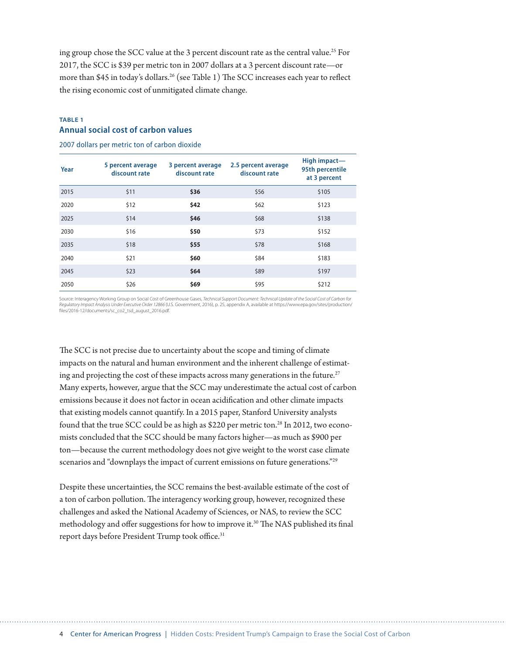ing group chose the SCC value at the 3 percent discount rate as the central value.<sup>25</sup> For 2017, the SCC is \$39 per metric ton in 2007 dollars at a 3 percent discount rate—or more than \$45 in today's dollars.<sup>26</sup> (see Table 1) The SCC increases each year to reflect the rising economic cost of unmitigated climate change.

### **TABLE 1 Annual social cost of carbon values**

2007 dollars per metric ton of carbon dioxide

| Year | 5 percent average<br>discount rate | 3 percent average<br>discount rate | 2.5 percent average<br>discount rate | High impact-<br>95th percentile<br>at 3 percent |
|------|------------------------------------|------------------------------------|--------------------------------------|-------------------------------------------------|
| 2015 | \$11                               | \$36                               | \$56                                 | \$105                                           |
| 2020 | \$12                               | \$42                               | \$62                                 | \$123                                           |
| 2025 | \$14                               | \$46                               | \$68                                 | \$138                                           |
| 2030 | \$16                               | \$50                               | \$73                                 | \$152                                           |
| 2035 | \$18                               | \$55                               | \$78                                 | \$168                                           |
| 2040 | \$21                               | \$60                               | \$84                                 | \$183                                           |
| 2045 | \$23                               | \$64                               | \$89                                 | \$197                                           |
| 2050 | \$26                               | \$69                               | \$95                                 | \$212                                           |

Source: Interagency Working Group on Social Cost of Greenhouse Gases, *Technical Support Document: Technical Update of the Social Cost of Carbon for Regulatory Impact Analysis Under Executive Order 12866* (U.S. Government, 2016), p. 25, appendix A, available at [https://www.epa.gov/sites/production/](https://www.epa.gov/sites/production/files/2016-12/documents/sc_co2_tsd_august_2016.pdf) [files/2016-12/documents/sc\\_co2\\_tsd\\_august\\_2016.pdf](https://www.epa.gov/sites/production/files/2016-12/documents/sc_co2_tsd_august_2016.pdf).

The SCC is not precise due to uncertainty about the scope and timing of climate impacts on the natural and human environment and the inherent challenge of estimating and projecting the cost of these impacts across many generations in the future.<sup>27</sup> Many experts, however, argue that the SCC may underestimate the actual cost of carbon emissions because it does not factor in ocean acidification and other climate impacts that existing models cannot quantify. In a 2015 paper, Stanford University analysts found that the true SCC could be as high as \$220 per metric ton.<sup>28</sup> In 2012, two economists concluded that the SCC should be many factors higher—as much as \$900 per ton—because the current methodology does not give weight to the worst case climate scenarios and "downplays the impact of current emissions on future generations."<sup>29</sup>

Despite these uncertainties, the SCC remains the best-available estimate of the cost of a ton of carbon pollution. The interagency working group, however, recognized these challenges and asked the National Academy of Sciences, or NAS, to review the SCC methodology and offer suggestions for how to improve it.<sup>30</sup> The NAS published its final report days before President Trump took office.<sup>31</sup>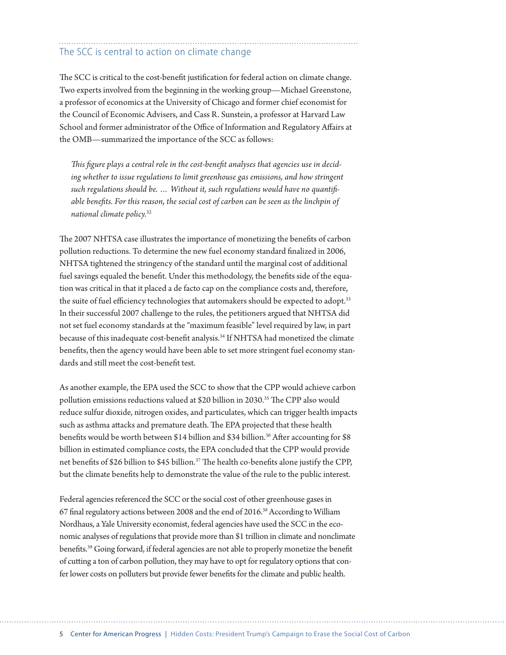# The SCC is central to action on climate change

The SCC is critical to the cost-benefit justification for federal action on climate change. Two experts involved from the beginning in the working group—Michael Greenstone, a professor of economics at the University of Chicago and former chief economist for the Council of Economic Advisers, and Cass R. Sunstein, a professor at Harvard Law School and former administrator of the Office of Information and Regulatory Affairs at the OMB—summarized the importance of the SCC as follows:

*This figure plays a central role in the cost-benefit analyses that agencies use in decid*ing whether to issue regulations to limit greenhouse gas emissions, and how stringent *such regulations should be. … Without it, such regulations would have no quantifiable benefits. For this reason, the social cost of carbon can be seen as the linchpin of national climate policy.*<sup>32</sup>

The 2007 NHTSA case illustrates the importance of monetizing the benefits of carbon pollution reductions. To determine the new fuel economy standard finalized in 2006, NHTSA tightened the stringency of the standard until the marginal cost of additional fuel savings equaled the benefit. Under this methodology, the benefits side of the equation was critical in that it placed a de facto cap on the compliance costs and, therefore, the suite of fuel efficiency technologies that automakers should be expected to adopt.<sup>33</sup> In their successful 2007 challenge to the rules, the petitioners argued that NHTSA did not set fuel economy standards at the "maximum feasible" level required by law, in part because of this inadequate cost-benefit analysis.34 If NHTSA had monetized the climate benefits, then the agency would have been able to set more stringent fuel economy standards and still meet the cost-benefit test.

As another example, the EPA used the SCC to show that the CPP would achieve carbon pollution emissions reductions valued at \$20 billion in 2030.<sup>35</sup> The CPP also would reduce sulfur dioxide, nitrogen oxides, and particulates, which can trigger health impacts such as asthma attacks and premature death. The EPA projected that these health benefits would be worth between \$14 billion and \$34 billion.<sup>36</sup> After accounting for \$8 billion in estimated compliance costs, the EPA concluded that the CPP would provide net benefits of \$26 billion to \$45 billion.<sup>37</sup> The health co-benefits alone justify the CPP, but the climate benefits help to demonstrate the value of the rule to the public interest.

Federal agencies referenced the SCC or the social cost of other greenhouse gases in 67 final regulatory actions between 2008 and the end of 2016.38 According to William Nordhaus, a Yale University economist, federal agencies have used the SCC in the economic analyses of regulations that provide more than \$1 trillion in climate and nonclimate benefits.39 Going forward, if federal agencies are not able to properly monetize the benefit of cutting a ton of carbon pollution, they may have to opt for regulatory options that confer lower costs on polluters but provide fewer benefits for the climate and public health.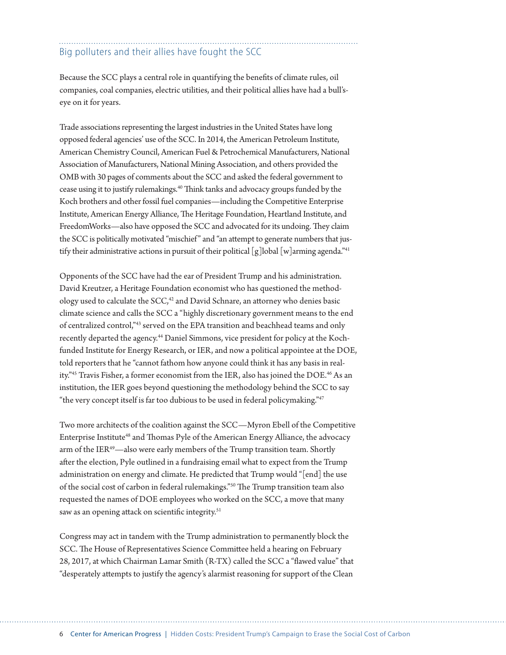# Big polluters and their allies have fought the SCC

Because the SCC plays a central role in quantifying the benefits of climate rules, oil companies, coal companies, electric utilities, and their political allies have had a bull'seye on it for years.

Trade associations representing the largest industries in the United States have long opposed federal agencies' use of the SCC. In 2014, the American Petroleum Institute, American Chemistry Council, American Fuel & Petrochemical Manufacturers, National Association of Manufacturers, National Mining Association, and others provided the OMB with 30 pages of comments about the SCC and asked the federal government to cease using it to justify rulemakings.40 Think tanks and advocacy groups funded by the Koch brothers and other fossil fuel companies—including the Competitive Enterprise Institute, American Energy Alliance, The Heritage Foundation, Heartland Institute, and FreedomWorks—also have opposed the SCC and advocated for its undoing. They claim the SCC is politically motivated "mischief" and "an attempt to generate numbers that justify their administrative actions in pursuit of their political  $\lceil g \rceil$ lobal  $\lceil w \rceil$ arming agenda."<sup>41</sup>

Opponents of the SCC have had the ear of President Trump and his administration. David Kreutzer, a Heritage Foundation economist who has questioned the methodology used to calculate the SCC,<sup>42</sup> and David Schnare, an attorney who denies basic climate science and calls the SCC a "highly discretionary government means to the end of centralized control,"43 served on the EPA transition and beachhead teams and only recently departed the agency.<sup>44</sup> Daniel Simmons, vice president for policy at the Kochfunded Institute for Energy Research, or IER, and now a political appointee at the DOE, told reporters that he "cannot fathom how anyone could think it has any basis in reality."<sup>45</sup> Travis Fisher, a former economist from the IER, also has joined the DOE.<sup>46</sup> As an institution, the IER goes beyond questioning the methodology behind the SCC to say "the very concept itself is far too dubious to be used in federal policymaking."47

Two more architects of the coalition against the SCC—Myron Ebell of the Competitive Enterprise Institute<sup>48</sup> and Thomas Pyle of the American Energy Alliance, the advocacy arm of the IER<sup>49</sup>—also were early members of the Trump transition team. Shortly after the election, Pyle outlined in a fundraising email what to expect from the Trump administration on energy and climate. He predicted that Trump would "[end] the use of the social cost of carbon in federal rulemakings."50 The Trump transition team also requested the names of DOE employees who worked on the SCC, a move that many saw as an opening attack on scientific integrity.<sup>51</sup>

Congress may act in tandem with the Trump administration to permanently block the SCC. The House of Representatives Science Committee held a hearing on February 28, 2017, at which Chairman Lamar Smith (R-TX) called the SCC a "flawed value" that "desperately attempts to justify the agency's alarmist reasoning for support of the Clean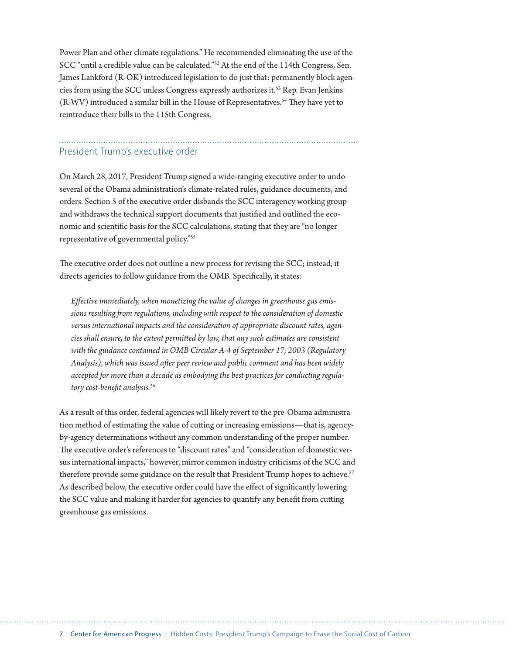Power Plan and other climate regulations." He recommended eliminating the use of the SCC "until a credible value can be calculated."52 At the end of the 114th Congress, Sen. James Lankford (R-OK) introduced legislation to do just that: permanently block agencies from using the SCC unless Congress expressly authorizes it.53 Rep. Evan Jenkins (R-WV) introduced a similar bill in the House of Representatives.<sup>54</sup> They have yet to reintroduce their bills in the 115th Congress.

### President Trump's executive order

On March 28, 2017, President Trump signed a wide-ranging executive order to undo several of the Obama administration's climate-related rules, guidance documents, and orders. Section 5 of the executive order disbands the SCC interagency working group and withdraws the technical support documents that justified and outlined the economic and scientific basis for the SCC calculations, stating that they are "no longer representative of governmental policy."55

The executive order does not outline a new process for revising the SCC; instead, it directs agencies to follow guidance from the OMB. Specifically, it states:

*Effective immediately, when monetizing the value of changes in greenhouse gas emissions resulting from regulations, including with respect to the consideration of domestic versus international impacts and the consideration of appropriate discount rates, agencies shall ensure, to the extent permitted by law, that any such estimates are consistent with the guidance contained in OMB Circular A-4 of September 17, 2003 (Regulatory Analysis), which was issued after peer review and public comment and has been widely accepted for more than a decade as embodying the best practices for conducting regulatory cost-benefit analysis.*<sup>56</sup>

As a result of this order, federal agencies will likely revert to the pre-Obama administration method of estimating the value of cutting or increasing emissions—that is, agencyby-agency determinations without any common understanding of the proper number. The executive order's references to "discount rates" and "consideration of domestic versus international impacts," however, mirror common industry criticisms of the SCC and therefore provide some guidance on the result that President Trump hopes to achieve.<sup>57</sup> As described below, the executive order could have the effect of significantly lowering the SCC value and making it harder for agencies to quantify any benefit from cutting greenhouse gas emissions.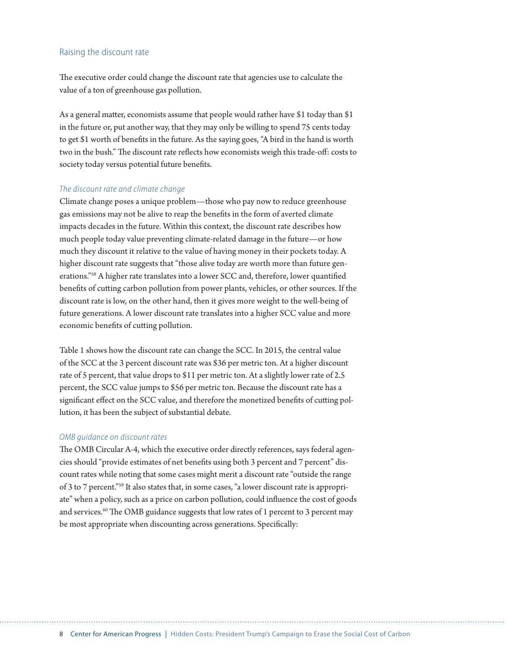#### Raising the discount rate

The executive order could change the discount rate that agencies use to calculate the value of a ton of greenhouse gas pollution.

As a general matter, economists assume that people would rather have \$1 today than \$1 in the future or, put another way, that they may only be willing to spend 75 cents today to get \$1 worth of benefits in the future. As the saying goes, "A bird in the hand is worth two in the bush." The discount rate reflects how economists weigh this trade-off: costs to society today versus potential future benefits.

#### *The discount rate and climate change*

Climate change poses a unique problem—those who pay now to reduce greenhouse gas emissions may not be alive to reap the benefits in the form of averted climate impacts decades in the future. Within this context, the discount rate describes how much people today value preventing climate-related damage in the future—or how much they discount it relative to the value of having money in their pockets today. A higher discount rate suggests that "those alive today are worth more than future generations."58 A higher rate translates into a lower SCC and, therefore, lower quantified benefits of cutting carbon pollution from power plants, vehicles, or other sources. If the discount rate is low, on the other hand, then it gives more weight to the well-being of future generations. A lower discount rate translates into a higher SCC value and more economic benefits of cutting pollution.

Table 1 shows how the discount rate can change the SCC. In 2015, the central value of the SCC at the 3 percent discount rate was \$36 per metric ton. At a higher discount rate of 5 percent, that value drops to \$11 per metric ton. At a slightly lower rate of 2.5 percent, the SCC value jumps to \$56 per metric ton. Because the discount rate has a significant effect on the SCC value, and therefore the monetized benefits of cutting pollution, it has been the subject of substantial debate.

#### *OMB guidance on discount rates*

The OMB Circular A-4, which the executive order directly references, says federal agencies should "provide estimates of net benefits using both 3 percent and 7 percent" discount rates while noting that some cases might merit a discount rate "outside the range of 3 to 7 percent."59 It also states that, in some cases, "a lower discount rate is appropriate" when a policy, such as a price on carbon pollution, could influence the cost of goods and services.<sup>60</sup> The OMB guidance suggests that low rates of 1 percent to 3 percent may be most appropriate when discounting across generations. Specifically: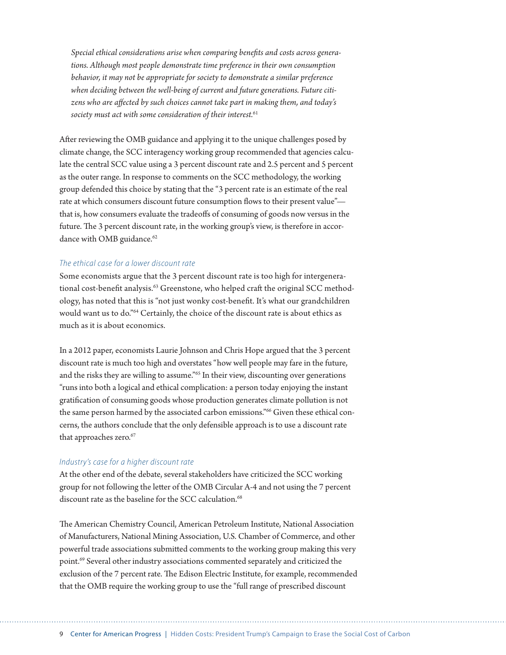*Special ethical considerations arise when comparing benefits and costs across generations. Although most people demonstrate time preference in their own consumption behavior, it may not be appropriate for society to demonstrate a similar preference when deciding between the well-being of current and future generations. Future citizens who are affected by such choices cannot take part in making them, and today's society must act with some consideration of their interest.*<sup>61</sup>

After reviewing the OMB guidance and applying it to the unique challenges posed by climate change, the SCC interagency working group recommended that agencies calculate the central SCC value using a 3 percent discount rate and 2.5 percent and 5 percent as the outer range. In response to comments on the SCC methodology, the working group defended this choice by stating that the "3 percent rate is an estimate of the real rate at which consumers discount future consumption flows to their present value" that is, how consumers evaluate the tradeoffs of consuming of goods now versus in the future. The 3 percent discount rate, in the working group's view, is therefore in accordance with OMB guidance.<sup>62</sup>

#### *The ethical case for a lower discount rate*

Some economists argue that the 3 percent discount rate is too high for intergenerational cost-benefit analysis.<sup>63</sup> Greenstone, who helped craft the original SCC methodology, has noted that this is "not just wonky cost-benefit. It's what our grandchildren would want us to do."64 Certainly, the choice of the discount rate is about ethics as much as it is about economics.

In a 2012 paper, economists Laurie Johnson and Chris Hope argued that the 3 percent discount rate is much too high and overstates "how well people may fare in the future, and the risks they are willing to assume."65 In their view, discounting over generations "runs into both a logical and ethical complication: a person today enjoying the instant gratification of consuming goods whose production generates climate pollution is not the same person harmed by the associated carbon emissions."<sup>66</sup> Given these ethical concerns, the authors conclude that the only defensible approach is to use a discount rate that approaches zero.<sup>67</sup>

#### *Industry's case for a higher discount rate*

At the other end of the debate, several stakeholders have criticized the SCC working group for not following the letter of the OMB Circular A-4 and not using the 7 percent discount rate as the baseline for the SCC calculation.<sup>68</sup>

The American Chemistry Council, American Petroleum Institute, National Association of Manufacturers, National Mining Association, U.S. Chamber of Commerce, and other powerful trade associations submitted comments to the working group making this very point.69 Several other industry associations commented separately and criticized the exclusion of the 7 percent rate. The Edison Electric Institute, for example, recommended that the OMB require the working group to use the "full range of prescribed discount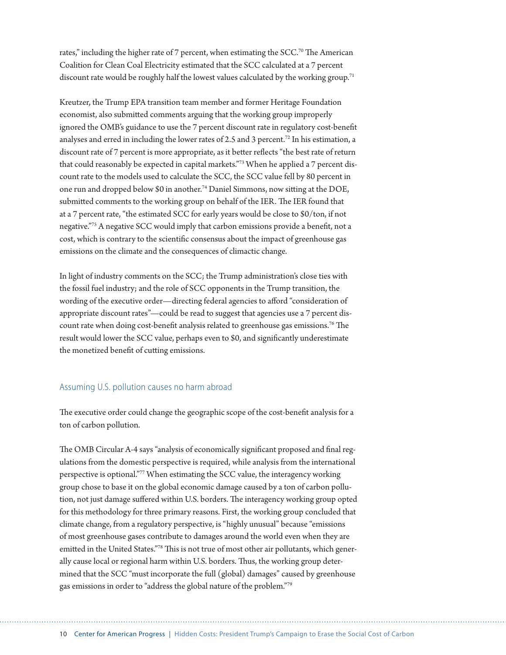rates," including the higher rate of 7 percent, when estimating the SCC.<sup>70</sup> The American Coalition for Clean Coal Electricity estimated that the SCC calculated at a 7 percent discount rate would be roughly half the lowest values calculated by the working group.<sup>71</sup>

Kreutzer, the Trump EPA transition team member and former Heritage Foundation economist, also submitted comments arguing that the working group improperly ignored the OMB's guidance to use the 7 percent discount rate in regulatory cost-benefit analyses and erred in including the lower rates of 2.5 and 3 percent.<sup>72</sup> In his estimation, a discount rate of 7 percent is more appropriate, as it better reflects "the best rate of return that could reasonably be expected in capital markets."73 When he applied a 7 percent discount rate to the models used to calculate the SCC, the SCC value fell by 80 percent in one run and dropped below \$0 in another.74 Daniel Simmons, now sitting at the DOE, submitted comments to the working group on behalf of the IER. The IER found that at a 7 percent rate, "the estimated SCC for early years would be close to \$0/ton, if not negative."75 A negative SCC would imply that carbon emissions provide a benefit, not a cost, which is contrary to the scientific consensus about the impact of greenhouse gas emissions on the climate and the consequences of climactic change.

In light of industry comments on the SCC; the Trump administration's close ties with the fossil fuel industry; and the role of SCC opponents in the Trump transition, the wording of the executive order—directing federal agencies to afford "consideration of appropriate discount rates"—could be read to suggest that agencies use a 7 percent discount rate when doing cost-benefit analysis related to greenhouse gas emissions.76 The result would lower the SCC value, perhaps even to \$0, and significantly underestimate the monetized benefit of cutting emissions.

### Assuming U.S. pollution causes no harm abroad

The executive order could change the geographic scope of the cost-benefit analysis for a ton of carbon pollution.

The OMB Circular A-4 says "analysis of economically significant proposed and final regulations from the domestic perspective is required, while analysis from the international perspective is optional."77 When estimating the SCC value, the interagency working group chose to base it on the global economic damage caused by a ton of carbon pollution, not just damage suffered within U.S. borders. The interagency working group opted for this methodology for three primary reasons. First, the working group concluded that climate change, from a regulatory perspective, is "highly unusual" because "emissions of most greenhouse gases contribute to damages around the world even when they are emitted in the United States."78 This is not true of most other air pollutants, which generally cause local or regional harm within U.S. borders. Thus, the working group determined that the SCC "must incorporate the full (global) damages" caused by greenhouse gas emissions in order to "address the global nature of the problem."79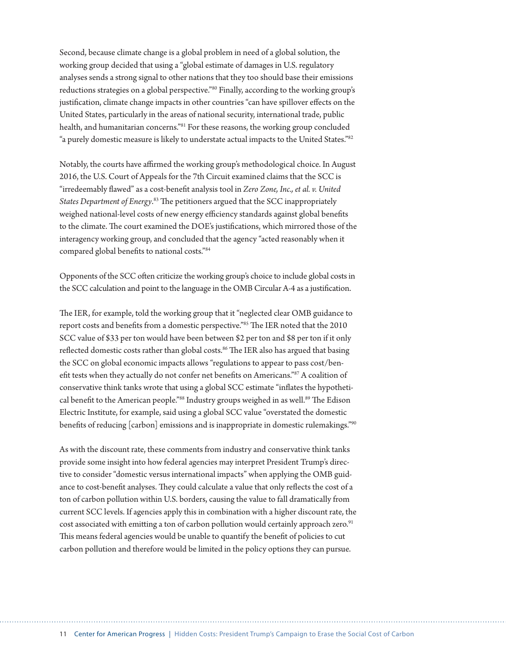Second, because climate change is a global problem in need of a global solution, the working group decided that using a "global estimate of damages in U.S. regulatory analyses sends a strong signal to other nations that they too should base their emissions reductions strategies on a global perspective."<sup>80</sup> Finally, according to the working group's justification, climate change impacts in other countries "can have spillover effects on the United States, particularly in the areas of national security, international trade, public health, and humanitarian concerns."81 For these reasons, the working group concluded "a purely domestic measure is likely to understate actual impacts to the United States."<sup>82</sup>

Notably, the courts have affirmed the working group's methodological choice. In August 2016, the U.S. Court of Appeals for the 7th Circuit examined claims that the SCC is "irredeemably flawed" as a cost-benefit analysis tool in *Zero Zone, Inc., et al. v. United States Department of Energy*. 83 The petitioners argued that the SCC inappropriately weighed national-level costs of new energy efficiency standards against global benefits to the climate. The court examined the DOE's justifications, which mirrored those of the interagency working group, and concluded that the agency "acted reasonably when it compared global benefits to national costs."84

Opponents of the SCC often criticize the working group's choice to include global costs in the SCC calculation and point to the language in the OMB Circular A-4 as a justification.

The IER, for example, told the working group that it "neglected clear OMB guidance to report costs and benefits from a domestic perspective."85 The IER noted that the 2010 SCC value of \$33 per ton would have been between \$2 per ton and \$8 per ton if it only reflected domestic costs rather than global costs.<sup>86</sup> The IER also has argued that basing the SCC on global economic impacts allows "regulations to appear to pass cost/benefit tests when they actually do not confer net benefits on Americans."87 A coalition of conservative think tanks wrote that using a global SCC estimate "inflates the hypothetical benefit to the American people."88 Industry groups weighed in as well.<sup>89</sup> The Edison Electric Institute, for example, said using a global SCC value "overstated the domestic benefits of reducing [carbon] emissions and is inappropriate in domestic rulemakings."<sup>90</sup>

As with the discount rate, these comments from industry and conservative think tanks provide some insight into how federal agencies may interpret President Trump's directive to consider "domestic versus international impacts" when applying the OMB guidance to cost-benefit analyses. They could calculate a value that only reflects the cost of a ton of carbon pollution within U.S. borders, causing the value to fall dramatically from current SCC levels. If agencies apply this in combination with a higher discount rate, the cost associated with emitting a ton of carbon pollution would certainly approach zero.<sup>91</sup> This means federal agencies would be unable to quantify the benefit of policies to cut carbon pollution and therefore would be limited in the policy options they can pursue.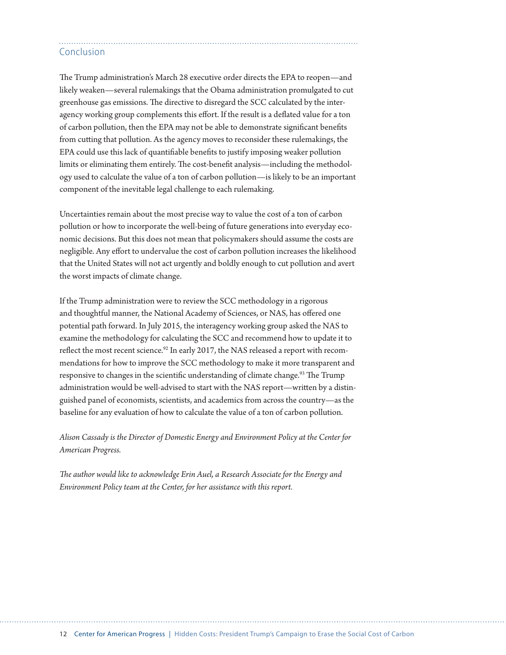## Conclusion

The Trump administration's March 28 executive order directs the EPA to reopen—and likely weaken—several rulemakings that the Obama administration promulgated to cut greenhouse gas emissions. The directive to disregard the SCC calculated by the interagency working group complements this effort. If the result is a deflated value for a ton of carbon pollution, then the EPA may not be able to demonstrate significant benefits from cutting that pollution. As the agency moves to reconsider these rulemakings, the EPA could use this lack of quantifiable benefits to justify imposing weaker pollution limits or eliminating them entirely. The cost-benefit analysis—including the methodology used to calculate the value of a ton of carbon pollution—is likely to be an important component of the inevitable legal challenge to each rulemaking.

Uncertainties remain about the most precise way to value the cost of a ton of carbon pollution or how to incorporate the well-being of future generations into everyday economic decisions. But this does not mean that policymakers should assume the costs are negligible. Any effort to undervalue the cost of carbon pollution increases the likelihood that the United States will not act urgently and boldly enough to cut pollution and avert the worst impacts of climate change.

If the Trump administration were to review the SCC methodology in a rigorous and thoughtful manner, the National Academy of Sciences, or NAS, has offered one potential path forward. In July 2015, the interagency working group asked the NAS to examine the methodology for calculating the SCC and recommend how to update it to reflect the most recent science.<sup>92</sup> In early 2017, the NAS released a report with recommendations for how to improve the SCC methodology to make it more transparent and responsive to changes in the scientific understanding of climate change.<sup>93</sup> The Trump administration would be well-advised to start with the NAS report—written by a distinguished panel of economists, scientists, and academics from across the country—as the baseline for any evaluation of how to calculate the value of a ton of carbon pollution.

*Alison Cassady is the Director of Domestic Energy and Environment Policy at the Center for American Progress.*

*The author would like to acknowledge Erin Auel, a Research Associate for the Energy and Environment Policy team at the Center, for her assistance with this report.*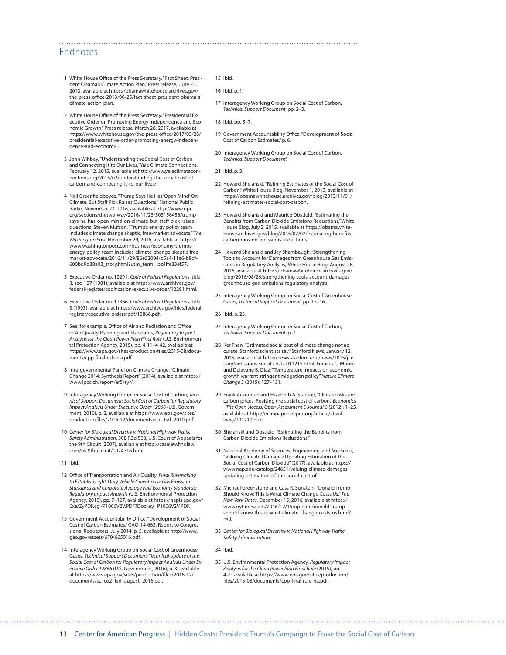### Endnotes

- 1 White House Office of the Press Secretary, "Fact Sheet: President Obama's Climate Action Plan," Press release, June 23, 2013, available at [https://obamawhitehouse.archives.gov/](https://obamawhitehouse.archives.gov/the-press-office/2013/06/25/fact-sheet-president-obama-s-climate-action-plan) [the-press-office/2013/06/25/fact-sheet-president-obama-s](https://obamawhitehouse.archives.gov/the-press-office/2013/06/25/fact-sheet-president-obama-s-climate-action-plan)[climate-action-plan.](https://obamawhitehouse.archives.gov/the-press-office/2013/06/25/fact-sheet-president-obama-s-climate-action-plan)
- 2 White House Office of the Press Secretary, "Presidential Executive Order on Promoting Energy Independence and Economic Growth," Press release, March 28, 2017, available at [https://www.whitehouse.gov/the-press-office/2017/03/28/](https://www.whitehouse.gov/the-press-office/2017/03/28/presidential-executive-order-promoting-energy-independence-and-economi-1) [presidential-executive-order-promoting-energy-indepen](https://www.whitehouse.gov/the-press-office/2017/03/28/presidential-executive-order-promoting-energy-independence-and-economi-1)[dence-and-economi-1.](https://www.whitehouse.gov/the-press-office/2017/03/28/presidential-executive-order-promoting-energy-independence-and-economi-1)
- 3 John Wihbey, "Understanding the Social Cost of Carbon and Connecting It to Our Lives," Yale Climate Connections, February 12, 2015, available at [http://www.yaleclimatecon](http://www.yaleclimateconnections.org/2015/02/understanding-the-social-cost-of-carbon-and-connecting-it-to-our-lives/)[nections.org/2015/02/understanding-the-social-cost-of](http://www.yaleclimateconnections.org/2015/02/understanding-the-social-cost-of-carbon-and-connecting-it-to-our-lives/)[carbon-and-connecting-it-to-our-lives/](http://www.yaleclimateconnections.org/2015/02/understanding-the-social-cost-of-carbon-and-connecting-it-to-our-lives/).
- 4 Nell Greenfieldboyce, "Trump Says He Has 'Open Mind' On Climate, But Staff Pick Raises Questions," National Public Radio, November 23, 2016, available at [http://www.npr.](http://www.npr.org/sections/thetwo-way/2016/11/23/503156456/trump-says-he-has-open-mind-on-climate-but-staff-pick-raises-questions) [org/sections/thetwo-way/2016/11/23/503156456/trump](http://www.npr.org/sections/thetwo-way/2016/11/23/503156456/trump-says-he-has-open-mind-on-climate-but-staff-pick-raises-questions)[says-he-has-open-mind-on-climate-but-staff-pick-raises](http://www.npr.org/sections/thetwo-way/2016/11/23/503156456/trump-says-he-has-open-mind-on-climate-but-staff-pick-raises-questions)[questions](http://www.npr.org/sections/thetwo-way/2016/11/23/503156456/trump-says-he-has-open-mind-on-climate-but-staff-pick-raises-questions); Steven Mufson, "Trump's energy policy team includes climate change skeptic, free-market advocate," *The Washington Post*, November 29, 2016, available at [https://](https://www.washingtonpost.com/business/economy/trumps-energy-policy-team-includes-climate-change-skeptic-free-market-advocate/2016/11/29/86e52004-b5a4-11e6-b8df-600bd9d38a02_story.html?utm_term=.bc4ffe33ef57) [www.washingtonpost.com/business/economy/trumps](https://www.washingtonpost.com/business/economy/trumps-energy-policy-team-includes-climate-change-skeptic-free-market-advocate/2016/11/29/86e52004-b5a4-11e6-b8df-600bd9d38a02_story.html?utm_term=.bc4ffe33ef57)[energy-policy-team-includes-climate-change-skeptic-free](https://www.washingtonpost.com/business/economy/trumps-energy-policy-team-includes-climate-change-skeptic-free-market-advocate/2016/11/29/86e52004-b5a4-11e6-b8df-600bd9d38a02_story.html?utm_term=.bc4ffe33ef57)[market-advocate/2016/11/29/86e52004-b5a4-11e6-b8df-](https://www.washingtonpost.com/business/economy/trumps-energy-policy-team-includes-climate-change-skeptic-free-market-advocate/2016/11/29/86e52004-b5a4-11e6-b8df-600bd9d38a02_story.html?utm_term=.bc4ffe33ef57)[600bd9d38a02\\_story.html?utm\\_term=.bc4ffe33ef57](https://www.washingtonpost.com/business/economy/trumps-energy-policy-team-includes-climate-change-skeptic-free-market-advocate/2016/11/29/86e52004-b5a4-11e6-b8df-600bd9d38a02_story.html?utm_term=.bc4ffe33ef57).
- 5 Executive Order no. 12291, *Code of Federal Regulations*, title 3, sec. 127 (1981), available at [https://www.archives.gov/](https://www.archives.gov/federal-register/codification/executive-order/12291.html) [federal-register/codification/executive-order/12291.html](https://www.archives.gov/federal-register/codification/executive-order/12291.html).
- 6 Executive Order no. 12866, *Code of Federal Regulations*, title 3 (1993), available at [https://www.archives.gov/files/federal](https://www.archives.gov/files/federal-register/executive-orders/pdf/12866.pdf)[register/executive-orders/pdf/12866.pdf.](https://www.archives.gov/files/federal-register/executive-orders/pdf/12866.pdf)
- 7 See, for example, Office of Air and Radiation and Office of Air Quality Planning and Standards, *Regulatory Impact Analysis for the Clean Power Plan Final Rule* (U.S. Environmental Protection Agency, 2015), pp. 4-11–4-42, available at [https://www.epa.gov/sites/production/files/2015-08/docu](https://www.epa.gov/sites/production/files/2015-08/documents/cpp-final-rule-ria.pdf)[ments/cpp-final-rule-ria.pdf](https://www.epa.gov/sites/production/files/2015-08/documents/cpp-final-rule-ria.pdf).
- 8 Intergovernmental Panel on Climate Change, "Climate Change 2014: Synthesis Report" (2014), available at [https://](https://www.ipcc.ch/report/ar5/syr/) [www.ipcc.ch/report/ar5/syr/.](https://www.ipcc.ch/report/ar5/syr/)
- 9 Interagency Working Group on Social Cost of Carbon, *Technical Support Document: Social Cost of Carbon for Regulatory Impact Analysis Under Executive Order 12866* (U.S. Government, 2010), p. 2, available at [https://www.epa.gov/sites/](https://www.epa.gov/sites/production/files/2016-12/documents/scc_tsd_2010.pdf) [production/files/2016-12/documents/scc\\_tsd\\_2010.pdf.](https://www.epa.gov/sites/production/files/2016-12/documents/scc_tsd_2010.pdf)
- 10 *Center for Biological Diversity v. National Highway Traffic Safety Administration*, 508 F.3d 508, U.S. Court of Appeals for the 9th Circuit (2007), available at [http://caselaw.findlaw.](http://caselaw.findlaw.com/us-9th-circuit/1024716.html) [com/us-9th-circuit/1024716.html.](http://caselaw.findlaw.com/us-9th-circuit/1024716.html)
- 11 Ibid.
- 12 Office of Transportation and Air Quality, *Final Rulemaking to Establish Light-Duty Vehicle Greenhouse Gas Emission Standards and Corporate Average Fuel Economy Standards: Regulatory Impact Analysis* (U.S. Environmental Protection Agency, 2010), pp. 7–127, available at [https://nepis.epa.gov/](https://nepis.epa.gov/Exe/ZyPDF.cgi/P1006V2V.PDF?Dockey=P1006V2V.PDF) [Exe/ZyPDF.cgi/P1006V2V.PDF?Dockey=P1006V2V.PDF.](https://nepis.epa.gov/Exe/ZyPDF.cgi/P1006V2V.PDF?Dockey=P1006V2V.PDF)
- 13 Government Accountability Office, "Development of Social Cost of Carbon Estimates," GAO-14-663, Report to Congressional Requesters, July 2014, p. 5, available at [http://www.](http://www.gao.gov/assets/670/665016.pdf) [gao.gov/assets/670/665016.pdf](http://www.gao.gov/assets/670/665016.pdf).
- 14 Interagency Working Group on Social Cost of Greenhouse Gases, *Technical Support Document: Technical Update of the Social Cost of Carbon for Regulatory Impact Analysis Under Executive Order 12866* (U.S. Government, 2016), p. 3, available at [https://www.epa.gov/sites/production/files/2016-12/](https://www.epa.gov/sites/production/files/2016-12/documents/sc_co2_tsd_august_2016.pdf) [documents/sc\\_co2\\_tsd\\_august\\_2016.pdf](https://www.epa.gov/sites/production/files/2016-12/documents/sc_co2_tsd_august_2016.pdf).

#### 15 Ibid.

```
16 Ibid, p. 1.
```
- 17 Interagency Working Group on Social Cost of Carbon, *Technical Support Document*, pp. 2–3.
- 18 Ibid, pp. 5–7.
- 19 Government Accountability Office, "Development of Social Cost of Carbon Estimates," p. 6.
- 20 Interagency Working Group on Social Cost of Carbon, *Technical Support Document*."
- 21 Ibid, p. 3.
- 22 Howard Shelanski, "Refining Estimates of the Social Cost of Carbon," White House Blog, November 1, 2013, available at [https://obamawhitehouse.archives.gov/blog/2013/11/01/](https://obamawhitehouse.archives.gov/blog/2013/11/01/refining-estimates-social-cost-carbon) [refining-estimates-social-cost-carbon](https://obamawhitehouse.archives.gov/blog/2013/11/01/refining-estimates-social-cost-carbon).
- 23 Howard Shelanski and Maurice Obstfeld, "Estimating the Benefits from Carbon Dioxide Emissions Reductions," White House Blog, July 2, 2015, available at [https://obamawhite](https://obamawhitehouse.archives.gov/blog/2015/07/02/estimating-benefits-carbon-dioxide-emissions-reductions)[house.archives.gov/blog/2015/07/02/estimating-benefits](https://obamawhitehouse.archives.gov/blog/2015/07/02/estimating-benefits-carbon-dioxide-emissions-reductions)[carbon-dioxide-emissions-reductions](https://obamawhitehouse.archives.gov/blog/2015/07/02/estimating-benefits-carbon-dioxide-emissions-reductions).
- 24 Howard Shelanski and Jay Shambaugh, "Strengthening Tools to Account for Damages from Greenhouse Gas Emissions in Regulatory Analysis," White House Blog, August 26, 2016, available at [https://obamawhitehouse.archives.gov/](https://obamawhitehouse.archives.gov/blog/2016/08/26/strengthening-tools-account-damages-greenhouse-gas-emissions-regulatory-analysis) [blog/2016/08/26/strengthening-tools-account-damages](https://obamawhitehouse.archives.gov/blog/2016/08/26/strengthening-tools-account-damages-greenhouse-gas-emissions-regulatory-analysis)[greenhouse-gas-emissions-regulatory-analysis](https://obamawhitehouse.archives.gov/blog/2016/08/26/strengthening-tools-account-damages-greenhouse-gas-emissions-regulatory-analysis).
- 25 Interagency Working Group on Social Cost of Greenhouse Gases, *Technical Support Document*, pp. 15–16.
- 26 Ibid, p. 25.
- 27 Interagency Working Group on Social Cost of Carbon, *Technical Support Document*, p. 2.
- 28 Ker Than, "Estimated social cost of climate change not accurate, Stanford scientists say," Stanford News, January 12, 2015, available at [http://news.stanford.edu/news/2015/jan](http://news.stanford.edu/news/2015/january/emissions-social-costs-011215.html)[uary/emissions-social-costs-011215.html](http://news.stanford.edu/news/2015/january/emissions-social-costs-011215.html); Frances C. Moore and Delavane B. Diaz, "Temperature impacts on economic growth warrant stringent mitigation policy," *Nature Climate Change* 5 (2015): 127–131.
- 29 Frank Ackerman and Elizabeth A. Stanton, "Climate risks and carbon prices: Revising the social cost of carbon," *Economics - The Open-Access, Open-Assessment E-Journal* 6 (2012): 1–25, available at [http://econpapers.repec.org/article/zbwif](http://econpapers.repec.org/article/zbwifweej/201210.htm)[weej/201210.htm.](http://econpapers.repec.org/article/zbwifweej/201210.htm)
- 30 Shelanski and Obstfeld, "Estimating the Benefits from Carbon Dioxide Emissions Reductions."
- 31 National Academy of Sciences, Engineering, and Medicine, "Valuing Climate Damages: Updating Estimation of the Social Cost of Carbon Dioxide" (2017), available at [https://](https://www.nap.edu/catalog/24651/valuing-climate-damages-updating-estimation-of-the-social-cost-of) [www.nap.edu/catalog/24651/valuing-climate-damages](https://www.nap.edu/catalog/24651/valuing-climate-damages-updating-estimation-of-the-social-cost-of)[updating-estimation-of-the-social-cost-of.](https://www.nap.edu/catalog/24651/valuing-climate-damages-updating-estimation-of-the-social-cost-of)
- 32 Michael Greenstone and Cass R. Sunstein, "Donald Trump Should Know: This Is What Climate Change Costs Us," *The New York Times*, December 15, 2016, available at [https://](https://www.nytimes.com/2016/12/15/opinion/donald-trump-should-know-this-is-what-climate-change-costs-us.html?_r=0) [www.nytimes.com/2016/12/15/opinion/donald-trump](https://www.nytimes.com/2016/12/15/opinion/donald-trump-should-know-this-is-what-climate-change-costs-us.html?_r=0)[should-know-this-is-what-climate-change-costs-us.html?\\_](https://www.nytimes.com/2016/12/15/opinion/donald-trump-should-know-this-is-what-climate-change-costs-us.html?_r=0) [r=0.](https://www.nytimes.com/2016/12/15/opinion/donald-trump-should-know-this-is-what-climate-change-costs-us.html?_r=0)
- 33 *Center for Biological Diversity v. National Highway Traffic Safety Administration*.
- 34 Ibid.
- 35 U.S. Environmental Protection Agency, *Regulatory Impact Analysis for the Clean Power Plan Final Rule* (2015), pp. 4–9, available at [https://www.epa.gov/sites/production/](https://www.epa.gov/sites/production/files/2015-08/documents/cpp-final-rule-ria.pdf) [files/2015-08/documents/cpp-final-rule-ria.pdf](https://www.epa.gov/sites/production/files/2015-08/documents/cpp-final-rule-ria.pdf).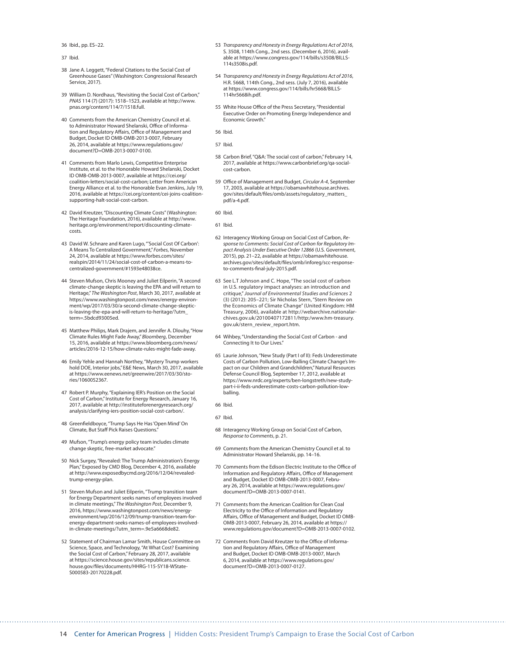36 Ibid., pp. ES–22.

37 Ibid.

- 38 Jane A. Leggett, "Federal Citations to the Social Cost of Greenhouse Gases" (Washington: Congressional Research Service, 2017).
- 39 William D. Nordhaus, "Revisiting the Social Cost of Carbon," *PNAS* 114 (7) (2017): 1518–1523, available at [http://www.](http://www.pnas.org/content/114/7/1518.full) [pnas.org/content/114/7/1518.full](http://www.pnas.org/content/114/7/1518.full).
- 40 Comments from the American Chemistry Council et al. to Administrator Howard Shelanski, Office of Information and Regulatory Affairs, Office of Management and Budget, Docket ID OMB-OMB-2013-0007, February 26, 2014, available at [https://www.regulations.gov/](https://www.regulations.gov/document?D=OMB-2013-0007-0100) [document?D=OMB-2013-0007-0100](https://www.regulations.gov/document?D=OMB-2013-0007-0100).
- 41 Comments from Marlo Lewis, Competitive Enterprise Institute, et al. to the Honorable Howard Shelanski, Docket ID OMB-OMB-2013-0007, available at [https://cei.org/](https://cei.org/coalition-letters/social-cost-carbon) [coalition-letters/social-cost-carbon](https://cei.org/coalition-letters/social-cost-carbon); Letter from American Energy Alliance et al. to the Honorable Evan Jenkins, July 19, 2016, available at [https://cei.org/content/cei-joins-coalition](https://cei.org/content/cei-joins-coalition-supporting-halt-social-cost-carbon)[supporting-halt-social-cost-carbon](https://cei.org/content/cei-joins-coalition-supporting-halt-social-cost-carbon).
- 42 David Kreutzer, "Discounting Climate Costs" (Washington: The Heritage Foundation, 2016), available at [http://www.](http://www.heritage.org/environment/report/discounting-climate-costs) [heritage.org/environment/report/discounting-climate](http://www.heritage.org/environment/report/discounting-climate-costs)[costs.](http://www.heritage.org/environment/report/discounting-climate-costs)
- 43 David W. Schnare and Karen Lugo, "'Social Cost Of Carbon': A Means To Centralized Government," *Forbes*, November 24, 2014, available at https://www.forbes.com/sites/ realspin/2014/11/24/social-cost-of-carbon-a-means-tocentralized-government/#1593e48038ce.
- 44 Steven Mufson, Chris Mooney and Juliet Eilperin, "A second climate-change skeptic is leaving the EPA and will return to Heritage," *The Washington Post*, March 30, 2017, available at [https://www.washingtonpost.com/news/energy-environ](https://www.washingtonpost.com/news/energy-environment/wp/2017/03/30/a-second-climate-change-skeptic-is-leaving-the-epa-and-will-return-to-heritage/?utm_term=.5bdcd93005ed)[ment/wp/2017/03/30/a-second-climate-change-skeptic](https://www.washingtonpost.com/news/energy-environment/wp/2017/03/30/a-second-climate-change-skeptic-is-leaving-the-epa-and-will-return-to-heritage/?utm_term=.5bdcd93005ed)[is-leaving-the-epa-and-will-return-to-heritage/?utm\\_](https://www.washingtonpost.com/news/energy-environment/wp/2017/03/30/a-second-climate-change-skeptic-is-leaving-the-epa-and-will-return-to-heritage/?utm_term=.5bdcd93005ed) [term=.5bdcd93005ed.](https://www.washingtonpost.com/news/energy-environment/wp/2017/03/30/a-second-climate-change-skeptic-is-leaving-the-epa-and-will-return-to-heritage/?utm_term=.5bdcd93005ed)
- 45 Matthew Philips, Mark Drajem, and Jennifer A. Dlouhy, "How Climate Rules Might Fade Away," *Bloomberg*, December 15, 2016, available at [https://www.bloomberg.com/news/](https://www.bloomberg.com/news/articles/2016-12-15/how-climate-rules-might-fade-away) [articles/2016-12-15/how-climate-rules-might-fade-away.](https://www.bloomberg.com/news/articles/2016-12-15/how-climate-rules-might-fade-away)
- 46 Emily Yehle and Hannah Northey, "Mystery Trump workers hold DOE, Interior jobs," E&E News, March 30, 2017, available at [https://www.eenews.net/greenwire/2017/03/30/sto](https://www.eenews.net/greenwire/2017/03/30/stories/1060052367)[ries/1060052367](https://www.eenews.net/greenwire/2017/03/30/stories/1060052367).
- 47 Robert P. Murphy, "Explaining IER's Position on the Social Cost of Carbon," Institute for Energy Research, January 16, 2017, available at [http://instituteforenergyresearch.org/](http://instituteforenergyresearch.org/analysis/clarifying-iers-position-social-cost-carbon/) [analysis/clarifying-iers-position-social-cost-carbon/.](http://instituteforenergyresearch.org/analysis/clarifying-iers-position-social-cost-carbon/)
- 48 Greenfieldboyce, "Trump Says He Has 'Open Mind' On Climate, But Staff Pick Raises Questions."
- 49 Mufson, "Trump's energy policy team includes climate change skeptic, free-market advocate."
- 50 Nick Surgey, "Revealed: The Trump Administration's Energy Plan," Exposed by CMD Blog, December 4, 2016, available at [http://www.exposedbycmd.org/2016/12/04/revealed](http://www.exposedbycmd.org/2016/12/04/revealed-trump-energy-plan)[trump-energy-plan](http://www.exposedbycmd.org/2016/12/04/revealed-trump-energy-plan).
- 51 Steven Mufson and Juliet Eilperin, "Trump transition team for Energy Department seeks names of employees involved in climate meetings," *The Washington Post*, December 9, 2016, [https://www.washingtonpost.com/news/energy](https://www.washingtonpost.com/news/energy-environment/wp/2016/12/09/trump-transition-team-for-energy-department-seeks-names-of-employees-involved-in-climate-meetings/?utm_term=.9e5a6668de82)[environment/wp/2016/12/09/trump-transition-team-for](https://www.washingtonpost.com/news/energy-environment/wp/2016/12/09/trump-transition-team-for-energy-department-seeks-names-of-employees-involved-in-climate-meetings/?utm_term=.9e5a6668de82)[energy-department-seeks-names-of-employees-involved](https://www.washingtonpost.com/news/energy-environment/wp/2016/12/09/trump-transition-team-for-energy-department-seeks-names-of-employees-involved-in-climate-meetings/?utm_term=.9e5a6668de82)[in-climate-meetings/?utm\\_term=.9e5a6668de82](https://www.washingtonpost.com/news/energy-environment/wp/2016/12/09/trump-transition-team-for-energy-department-seeks-names-of-employees-involved-in-climate-meetings/?utm_term=.9e5a6668de82).
- 52 Statement of Chairman Lamar Smith, House Committee on Science, Space, and Technology, "At What Cost? Examining the Social Cost of Carbon," February 28, 2017, available at [https://science.house.gov/sites/republicans.science.](https://science.house.gov/sites/republicans.science.house.gov/files/documents/HHRG-115-SY18-WState-S000583-20170228.pdf) [house.gov/files/documents/HHRG-115-SY18-WState-](https://science.house.gov/sites/republicans.science.house.gov/files/documents/HHRG-115-SY18-WState-S000583-20170228.pdf)[S000583-20170228.pdf](https://science.house.gov/sites/republicans.science.house.gov/files/documents/HHRG-115-SY18-WState-S000583-20170228.pdf).
- 53 *Transparency and Honesty in Energy Regulations Act of 2016*, S. 3508, 114th Cong., 2nd sess. (December 6, 2016), available at [https://www.congress.gov/114/bills/s3508/BILLS-](https://www.congress.gov/114/bills/s3508/BILLS-114s3508is.pdf)[114s3508is.pdf.](https://www.congress.gov/114/bills/s3508/BILLS-114s3508is.pdf)
- 54 *Transparency and Honesty in Energy Regulations Act of 2016*, H.R. 5668, 114th Cong., 2nd sess. (July 7, 2016), available at [https://www.congress.gov/114/bills/hr5668/BILLS-](https://www.congress.gov/114/bills/hr5668/BILLS-114hr5668ih.pdf)[114hr5668ih.pdf.](https://www.congress.gov/114/bills/hr5668/BILLS-114hr5668ih.pdf)
- 55 White House Office of the Press Secretary, "Presidential Executive Order on Promoting Energy Independence and Economic Growth."
- 56 Ibid.
- 57 Ibid.
- 58 Carbon Brief, "Q&A: The social cost of carbon," February 14, 2017, available at [https://www.carbonbrief.org/qa-social](https://www.carbonbrief.org/qa-social-cost-carbon)[cost-carbon.](https://www.carbonbrief.org/qa-social-cost-carbon)
- 59 Office of Management and Budget, *Circular A-4*, September 17, 2003, available at [https://obamawhitehouse.archives.](https://obamawhitehouse.archives.gov/sites/default/files/omb/assets/regulatory_matters_pdf/a-4.pdf) [gov/sites/default/files/omb/assets/regulatory\\_matters\\_](https://obamawhitehouse.archives.gov/sites/default/files/omb/assets/regulatory_matters_pdf/a-4.pdf) [pdf/a-4.pdf.](https://obamawhitehouse.archives.gov/sites/default/files/omb/assets/regulatory_matters_pdf/a-4.pdf)

60 Ibid.

- 61 Ibid.
- 62 Interagency Working Group on Social Cost of Carbon, *Response to Comments: Social Cost of Carbon for Regulatory Impact Analysis Under Executive Order 12866* (U.S. Government, 2015), pp. 21–22, available at [https://obamawhitehouse.](https://obamawhitehouse.archives.gov/sites/default/files/omb/inforeg/scc-response-to-comments-final-july-2015.pdf) [archives.gov/sites/default/files/omb/inforeg/scc-response](https://obamawhitehouse.archives.gov/sites/default/files/omb/inforeg/scc-response-to-comments-final-july-2015.pdf)[to-comments-final-july-2015.pdf](https://obamawhitehouse.archives.gov/sites/default/files/omb/inforeg/scc-response-to-comments-final-july-2015.pdf).
- 63 See L.T Johnson and C. Hope, "The social cost of carbon in U.S. regulatory impact analyses: an introduction and critique," *Journal of Environmental Studies and Sciences* 2 (3) (2012): 205–221; Sir Nicholas Stern, "Stern Review on the Economics of Climate Change" (United Kingdom: HM Treasury, 2006), available at [http://webarchive.nationalar](http://webarchive.nationalarchives.gov.uk/20100407172811/http:/www.hm-treasury.gov.uk/stern_review_report.htm)[chives.gov.uk/20100407172811/http:/www.hm-treasury.](http://webarchive.nationalarchives.gov.uk/20100407172811/http:/www.hm-treasury.gov.uk/stern_review_report.htm) [gov.uk/stern\\_review\\_report.htm.](http://webarchive.nationalarchives.gov.uk/20100407172811/http:/www.hm-treasury.gov.uk/stern_review_report.htm)
- 64 Wihbey, "Understanding the Social Cost of Carbon and Connecting It to Our Lives."
- 65 Laurie Johnson, "New Study (Part I of II): Feds Underestimate Costs of Carbon Pollution, Low-Balling Climate Change's Impact on our Children and Grandchildren," Natural Resources Defense Council Blog, September 17, 2012, available at [https://www.nrdc.org/experts/ben-longstreth/new-study](https://www.nrdc.org/experts/ben-longstreth/new-study-part-i-ii-feds-underestimate-costs-carbon-pollution-low-balling)[part-i-ii-feds-underestimate-costs-carbon-pollution-low](https://www.nrdc.org/experts/ben-longstreth/new-study-part-i-ii-feds-underestimate-costs-carbon-pollution-low-balling)[balling.](https://www.nrdc.org/experts/ben-longstreth/new-study-part-i-ii-feds-underestimate-costs-carbon-pollution-low-balling)
- 66 Ibid.

- 68 Interagency Working Group on Social Cost of Carbon, *Response to Comments*, p. 21.
- 69 Comments from the American Chemistry Council et al. to Administrator Howard Shelanski, pp. 14–16.
- 70 Comments from the Edison Electric Institute to the Office of Information and Regulatory Affairs, Office of Management and Budget, Docket ID OMB-OMB-2013-0007, February 26, 2014, available at [https://www.regulations.gov/](https://www.regulations.gov/document?D=OMB-2013-0007-0141) [document?D=OMB-2013-0007-0141](https://www.regulations.gov/document?D=OMB-2013-0007-0141).
- Comments from the American Coalition for Clean Coal Electricity to the Office of Information and Regulatory Affairs, Office of Management and Budget, Docket ID OMB-OMB-2013-0007, February 26, 2014, available at [https://](https://www.regulations.gov/document?D=OMB-2013-0007-0102) [www.regulations.gov/document?D=OMB-2013-0007-0102](https://www.regulations.gov/document?D=OMB-2013-0007-0102).
- 72 Comments from David Kreutzer to the Office of Information and Regulatory Affairs, Office of Management and Budget, Docket ID OMB-OMB-2013-0007, March 6, 2014, available at [https://www.regulations.gov/](https://www.regulations.gov/document?D=OMB-2013-0007-0127) [document?D=OMB-2013-0007-0127](https://www.regulations.gov/document?D=OMB-2013-0007-0127).

<sup>67</sup> Ibid.